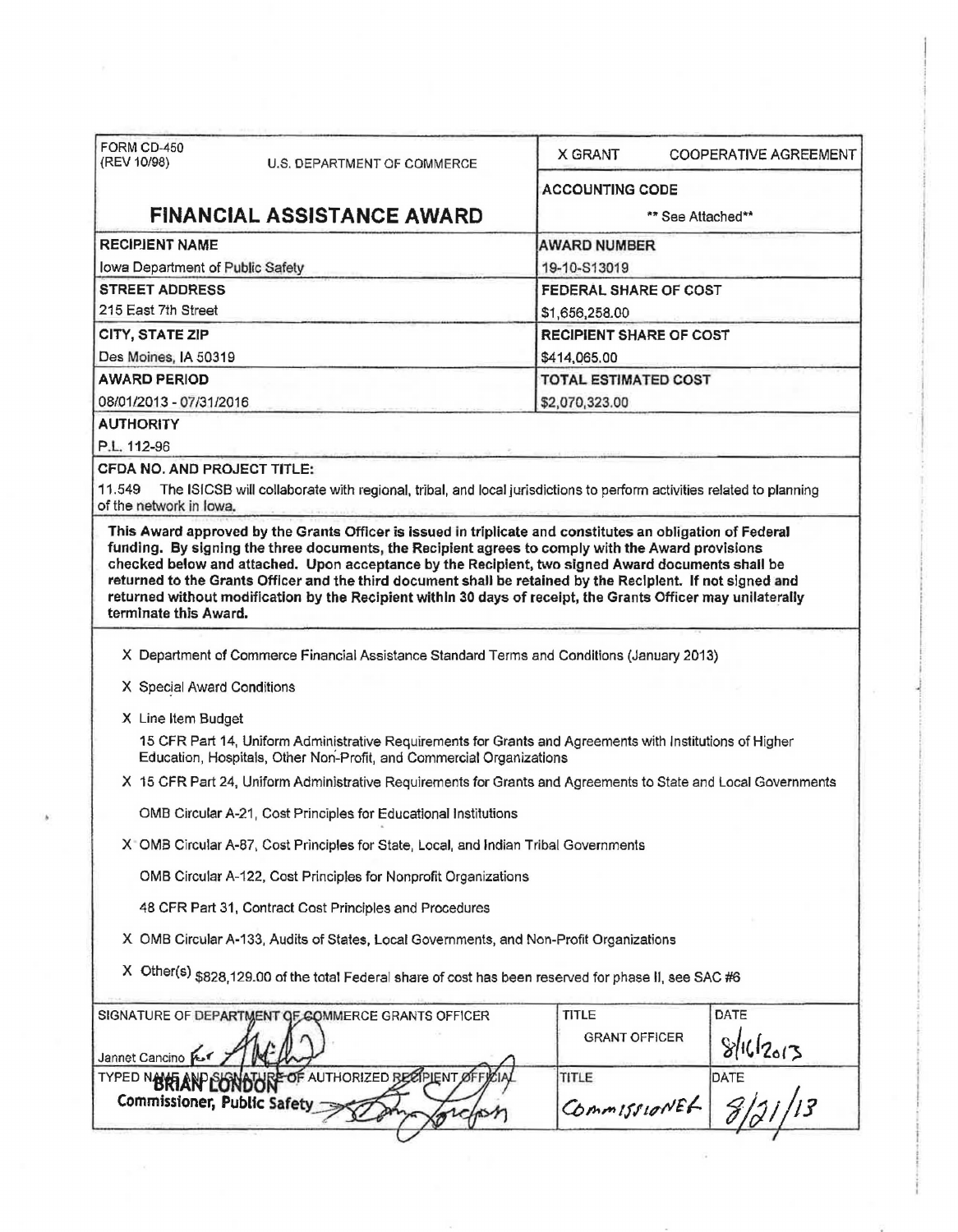| FORM CD-450<br>(REV 10/98)       | U.S. DEPARTMENT OF COMMERCE                                                                           | <b>X GRANT</b><br><b>COOPERATIVE AGREEMENT</b>                                                                                                                                                                               |  |  |
|----------------------------------|-------------------------------------------------------------------------------------------------------|------------------------------------------------------------------------------------------------------------------------------------------------------------------------------------------------------------------------------|--|--|
|                                  |                                                                                                       | <b>ACCOUNTING CODE</b>                                                                                                                                                                                                       |  |  |
|                                  | <b>FINANCIAL ASSISTANCE AWARD</b>                                                                     | ** See Attached**                                                                                                                                                                                                            |  |  |
| <b>RECIPIENT NAME</b>            |                                                                                                       | <b>AWARD NUMBER</b>                                                                                                                                                                                                          |  |  |
| Iowa Department of Public Safety |                                                                                                       | 19-10-S13019                                                                                                                                                                                                                 |  |  |
| <b>STREET ADDRESS</b>            |                                                                                                       | FEDERAL SHARE OF COST                                                                                                                                                                                                        |  |  |
| 215 East 7th Street              |                                                                                                       | \$1,656,258.00                                                                                                                                                                                                               |  |  |
| CITY, STATE ZIP                  |                                                                                                       | <b>RECIPIENT SHARE OF COST</b><br>\$414,065,00                                                                                                                                                                               |  |  |
| Des Moines, IA 50319             |                                                                                                       |                                                                                                                                                                                                                              |  |  |
| <b>AWARD PERIOD</b>              |                                                                                                       | <b>TOTAL ESTIMATED COST</b>                                                                                                                                                                                                  |  |  |
| 08/01/2013 - 07/31/2016          |                                                                                                       | \$2,070,323.00                                                                                                                                                                                                               |  |  |
| <b>AUTHORITY</b>                 |                                                                                                       |                                                                                                                                                                                                                              |  |  |
| P.L. 112-96                      |                                                                                                       |                                                                                                                                                                                                                              |  |  |
| CFDA NO. AND PROJECT TITLE:      |                                                                                                       |                                                                                                                                                                                                                              |  |  |
| of the network in lowa.          |                                                                                                       | 11.549 The ISICSB will collaborate with regional, tribal, and local jurisdictions to perform activities related to planning                                                                                                  |  |  |
|                                  |                                                                                                       | returned to the Grants Officer and the third document shall be retained by the Reciplent. If not signed and<br>returned without modification by the Recipient within 30 days of receipt, the Grants Officer may unilaterally |  |  |
| terminate this Award.            |                                                                                                       |                                                                                                                                                                                                                              |  |  |
|                                  | X Department of Commerce Financial Assistance Standard Terms and Conditions (January 2013)            |                                                                                                                                                                                                                              |  |  |
| X Special Award Conditions       |                                                                                                       |                                                                                                                                                                                                                              |  |  |
| X Line Item Budget               |                                                                                                       | 15 CFR Part 14, Uniform Administrative Requirements for Grants and Agreements with Institutions of Higher                                                                                                                    |  |  |
|                                  | Education, Hospitals, Other Non-Profit, and Commercial Organizations                                  | X 15 CFR Part 24, Uniform Administrative Requirements for Grants and Agreements to State and Local Governments                                                                                                               |  |  |
|                                  | OMB Circular A-21, Cost Principles for Educational Institutions                                       |                                                                                                                                                                                                                              |  |  |
|                                  | X OMB Circular A-87, Cost Principles for State, Local, and Indian Tribal Governments                  |                                                                                                                                                                                                                              |  |  |
|                                  | OMB Circular A-122, Cost Principles for Nonprofit Organizations                                       |                                                                                                                                                                                                                              |  |  |
|                                  | 48 CFR Part 31, Contract Cost Principles and Procedures                                               |                                                                                                                                                                                                                              |  |  |
|                                  | X OMB Circular A-133, Audits of States, Local Governments, and Non-Profit Organizations               |                                                                                                                                                                                                                              |  |  |
|                                  | X Other(s) \$828,129.00 of the total Federal share of cost has been reserved for phase II, see SAC #6 |                                                                                                                                                                                                                              |  |  |
|                                  | SIGNATURE OF DEPARTMENT GE COMMERCE GRANTS OFFICER                                                    | DATE<br><b>TITLE</b>                                                                                                                                                                                                         |  |  |
|                                  |                                                                                                       | <b>GRANT OFFICER</b><br>81612013                                                                                                                                                                                             |  |  |
| Jannet Cancino<br>TYPED NORTAN   | AUTHORIZED BEEIPIENT OFF                                                                              | TITLE<br>DATE                                                                                                                                                                                                                |  |  |

I I

i<br>Istoria i  $\ddot{\ddot{\phantom{}}\phantom{}}$ I